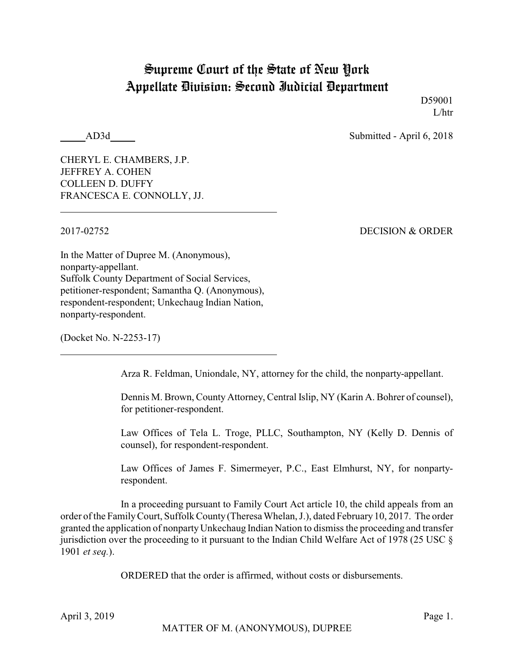## Supreme Court of the State of New York Appellate Division: Second Judicial Department

D59001 L/htr

AD3d Submitted - April 6, 2018

CHERYL E. CHAMBERS, J.P. JEFFREY A. COHEN COLLEEN D. DUFFY FRANCESCA E. CONNOLLY, JJ.

2017-02752 DECISION & ORDER

In the Matter of Dupree M. (Anonymous), nonparty-appellant. Suffolk County Department of Social Services, petitioner-respondent; Samantha Q. (Anonymous), respondent-respondent; Unkechaug Indian Nation, nonparty-respondent.

(Docket No. N-2253-17)

Arza R. Feldman, Uniondale, NY, attorney for the child, the nonparty-appellant.

Dennis M. Brown, County Attorney, Central Islip, NY (Karin A. Bohrer of counsel), for petitioner-respondent.

Law Offices of Tela L. Troge, PLLC, Southampton, NY (Kelly D. Dennis of counsel), for respondent-respondent.

Law Offices of James F. Simermeyer, P.C., East Elmhurst, NY, for nonpartyrespondent.

In a proceeding pursuant to Family Court Act article 10, the child appeals from an order of the FamilyCourt, Suffolk County (Theresa Whelan, J.), dated February 10, 2017. The order granted the application of nonpartyUnkechaug Indian Nation to dismiss the proceeding and transfer jurisdiction over the proceeding to it pursuant to the Indian Child Welfare Act of 1978 (25 USC § 1901 *et seq.*).

ORDERED that the order is affirmed, without costs or disbursements.

April 3, 2019 Page 1.

MATTER OF M. (ANONYMOUS), DUPREE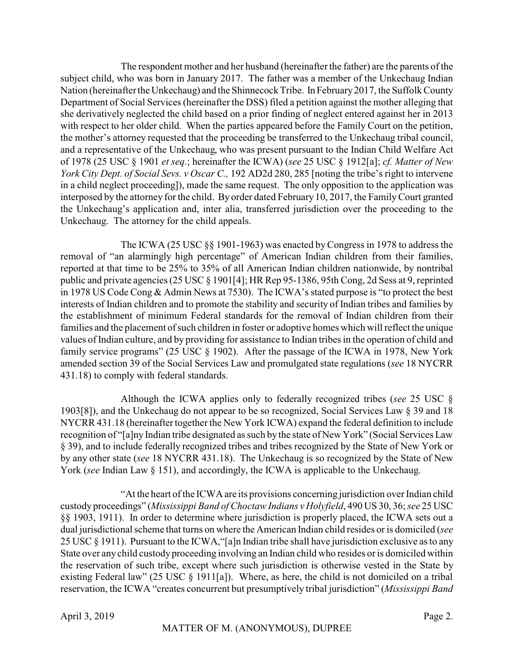The respondent mother and her husband (hereinafter the father) are the parents of the subject child, who was born in January 2017. The father was a member of the Unkechaug Indian Nation (hereinafter the Unkechaug) and the Shinnecock Tribe. In February2017, the Suffolk County Department of Social Services (hereinafter the DSS) filed a petition against the mother alleging that she derivatively neglected the child based on a prior finding of neglect entered against her in 2013 with respect to her older child. When the parties appeared before the Family Court on the petition, the mother's attorney requested that the proceeding be transferred to the Unkechaug tribal council, and a representative of the Unkechaug, who was present pursuant to the Indian Child Welfare Act of 1978 (25 USC § 1901 *et seq.*; hereinafter the ICWA) (*see* 25 USC § 1912[a]; *cf. Matter of New York City Dept. of Social Sevs. v Oscar C.,* 192 AD2d 280, 285 [noting the tribe's right to intervene in a child neglect proceeding]), made the same request. The only opposition to the application was interposed by the attorney for the child. By order dated February 10, 2017, the FamilyCourt granted the Unkechaug's application and, inter alia, transferred jurisdiction over the proceeding to the Unkechaug. The attorney for the child appeals.

The ICWA (25 USC §§ 1901-1963) was enacted byCongress in 1978 to address the removal of "an alarmingly high percentage" of American Indian children from their families, reported at that time to be 25% to 35% of all American Indian children nationwide, by nontribal public and private agencies (25 USC § 1901[4]; HR Rep 95-1386, 95th Cong, 2d Sess at 9, reprinted in 1978 US Code Cong & Admin News at 7530). The ICWA's stated purpose is "to protect the best interests of Indian children and to promote the stability and security of Indian tribes and families by the establishment of minimum Federal standards for the removal of Indian children from their families and the placement of such children in foster or adoptive homes which will reflect the unique values of Indian culture, and by providing for assistance to Indian tribes in the operation of child and family service programs" (25 USC § 1902). After the passage of the ICWA in 1978, New York amended section 39 of the Social Services Law and promulgated state regulations (*see* 18 NYCRR 431.18) to comply with federal standards.

Although the ICWA applies only to federally recognized tribes (*see* 25 USC § 1903[8]), and the Unkechaug do not appear to be so recognized, Social Services Law § 39 and 18 NYCRR 431.18 (hereinafter together the New York ICWA) expand the federal definition to include recognition of "[a]ny Indian tribe designated as such by the state of New York" (Social Services Law § 39), and to include federally recognized tribes and tribes recognized by the State of New York or by any other state (*see* 18 NYCRR 431.18). The Unkechaug is so recognized by the State of New York (*see* Indian Law § 151), and accordingly, the ICWA is applicable to the Unkechaug.

"At the heart of the ICWA are its provisions concerning jurisdiction over Indian child custody proceedings" (*Mississippi Band of Choctaw Indians v Holyfield*, 490 US 30, 36; *see* 25 USC §§ 1903, 1911). In order to determine where jurisdiction is properly placed, the ICWA sets out a dual jurisdictional scheme that turns on where the American Indian child resides or is domiciled (*see* 25 USC § 1911). Pursuant to the ICWA,"[a]n Indian tribe shall have jurisdiction exclusive as to any State over any child custody proceeding involving an Indian child who resides or is domiciled within the reservation of such tribe, except where such jurisdiction is otherwise vested in the State by existing Federal law" (25 USC § 1911[a]). Where, as here, the child is not domiciled on a tribal reservation, the ICWA "creates concurrent but presumptively tribal jurisdiction" (*Mississippi Band*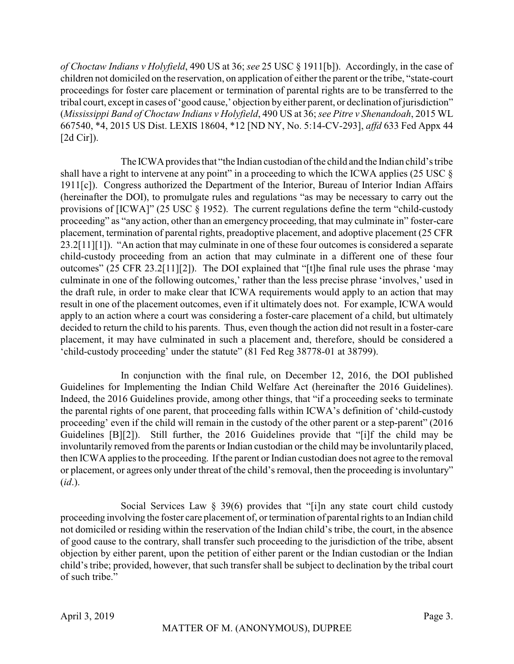*of Choctaw Indians v Holyfield*, 490 US at 36; *see* 25 USC § 1911[b]). Accordingly, in the case of children not domiciled on the reservation, on application of either the parent or the tribe, "state-court proceedings for foster care placement or termination of parental rights are to be transferred to the tribal court, except in cases of 'good cause,' objection by either parent, or declination of jurisdiction" (*Mississippi Band of Choctaw Indians v Holyfield*, 490 US at 36; *see Pitre v Shenandoah*, 2015 WL 667540, \*4, 2015 US Dist. LEXIS 18604, \*12 [ND NY, No. 5:14-CV-293], *affd* 633 Fed Appx 44 [2d Cir]).

The ICWAprovides that "the Indian custodian of the child and the Indian child's tribe shall have a right to intervene at any point" in a proceeding to which the ICWA applies (25 USC § 1911[c]). Congress authorized the Department of the Interior, Bureau of Interior Indian Affairs (hereinafter the DOI), to promulgate rules and regulations "as may be necessary to carry out the provisions of [ICWA]" (25 USC § 1952). The current regulations define the term "child-custody proceeding" as "any action, other than an emergency proceeding, that may culminate in" foster-care placement, termination of parental rights, preadoptive placement, and adoptive placement (25 CFR 23.2[11][1]). "An action that may culminate in one of these four outcomes is considered a separate child-custody proceeding from an action that may culminate in a different one of these four outcomes" (25 CFR 23.2[11][2]). The DOI explained that "[t]he final rule uses the phrase 'may culminate in one of the following outcomes,' rather than the less precise phrase 'involves,' used in the draft rule, in order to make clear that ICWA requirements would apply to an action that may result in one of the placement outcomes, even if it ultimately does not. For example, ICWA would apply to an action where a court was considering a foster-care placement of a child, but ultimately decided to return the child to his parents. Thus, even though the action did not result in a foster-care placement, it may have culminated in such a placement and, therefore, should be considered a 'child-custody proceeding' under the statute" (81 Fed Reg 38778-01 at 38799).

In conjunction with the final rule, on December 12, 2016, the DOI published Guidelines for Implementing the Indian Child Welfare Act (hereinafter the 2016 Guidelines). Indeed, the 2016 Guidelines provide, among other things, that "if a proceeding seeks to terminate the parental rights of one parent, that proceeding falls within ICWA's definition of 'child-custody proceeding' even if the child will remain in the custody of the other parent or a step-parent" (2016 Guidelines [B][2]). Still further, the 2016 Guidelines provide that "[i]f the child may be involuntarily removed from the parents or Indian custodian or the child may be involuntarily placed, then ICWA applies to the proceeding. If the parent or Indian custodian does not agree to the removal or placement, or agrees only under threat of the child's removal, then the proceeding is involuntary" (*id*.).

Social Services Law § 39(6) provides that "[i]n any state court child custody proceeding involving the foster care placement of, or termination of parental rights to an Indian child not domiciled or residing within the reservation of the Indian child's tribe, the court, in the absence of good cause to the contrary, shall transfer such proceeding to the jurisdiction of the tribe, absent objection by either parent, upon the petition of either parent or the Indian custodian or the Indian child's tribe; provided, however, that such transfer shall be subject to declination by the tribal court of such tribe."